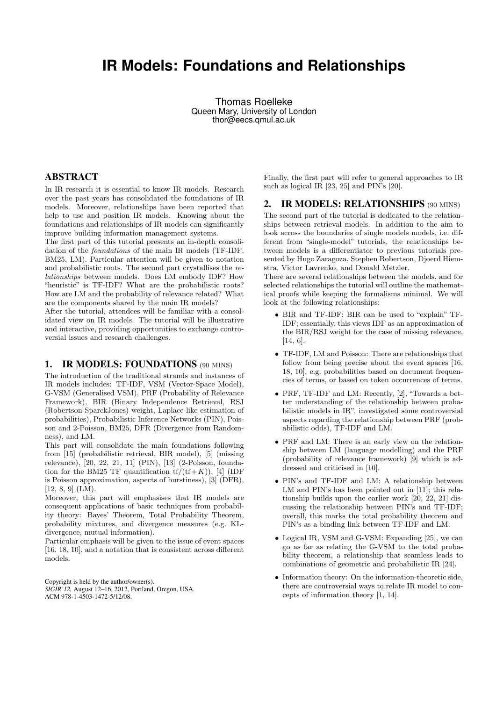# **IR Models: Foundations and Relationships**

Thomas Roelleke Queen Mary, University of London thor@eecs.qmul.ac.uk

## ABSTRACT

In IR research it is essential to know IR models. Research over the past years has consolidated the foundations of IR models. Moreover, relationships have been reported that help to use and position IR models. Knowing about the foundations and relationships of IR models can significantly improve building information management systems.

The first part of this tutorial presents an in-depth consolidation of the foundations of the main IR models (TF-IDF, BM25, LM). Particular attention will be given to notation and probabilistic roots. The second part crystallises the relationships between models. Does LM embody IDF? How "heuristic" is TF-IDF? What are the probabilistic roots? How are LM and the probability of relevance related? What are the components shared by the main IR models?

After the tutorial, attendees will be familiar with a consolidated view on IR models. The tutorial will be illustrative and interactive, providing opportunities to exchange controversial issues and research challenges.

#### 1. IR MODELS: FOUNDATIONS (90 MINS)

The introduction of the traditional strands and instances of IR models includes: TF-IDF, VSM (Vector-Space Model), G-VSM (Generalised VSM), PRF (Probability of Relevance Framework), BIR (Binary Independence Retrieval, RSJ (Robertson-SparckJones) weight, Laplace-like estimation of probabilities), Probabilistic Inference Networks (PIN), Poisson and 2-Poisson, BM25, DFR (Divergence from Randomness), and LM.

This part will consolidate the main foundations following from [15] (probabilistic retrieval, BIR model), [5] (missing relevance), [20, 22, 21, 11] (PIN), [13] (2-Poisson, foundation for the BM25 TF quantification  $tf/(tf+K)$ ), [4] (IDF is Poisson approximation, aspects of burstiness), [3] (DFR), [12, 8, 9] (LM).

Moreover, this part will emphasises that IR models are consequent applications of basic techniques from probability theory: Bayes' Theorem, Total Probability Theorem, probability mixtures, and divergence measures (e.g. KLdivergence, mutual information).

Particular emphasis will be given to the issue of event spaces [16, 18, 10], and a notation that is consistent across different models.

Copyright is held by the author/owner(s). *SIGIR'12,* August 12–16, 2012, Portland, Oregon, USA. ACM 978-1-4503-1472-5/12/08.

Finally, the first part will refer to general approaches to IR such as logical IR [23, 25] and PIN's [20].

# 2. IR MODELS: RELATIONSHIPS (90 MINS)

The second part of the tutorial is dedicated to the relationships between retrieval models. In addition to the aim to look across the boundaries of single models models, i.e. different from "single-model" tutorials, the relationships between models is a differentiator to previous tutorials presented by Hugo Zaragoza, Stephen Robertson, Djoerd Hiemstra, Victor Lavrenko, and Donald Metzler.

There are several relationships between the models, and for selected relationships the tutorial will outline the mathematical proofs while keeping the formalisms minimal. We will look at the following relationships:

- BIR and TF-IDF: BIR can be used to "explain" TF-IDF; essentially, this views IDF as an approximation of the BIR/RSJ weight for the case of missing relevance, [14, 6].
- TF-IDF, LM and Poisson: There are relationships that follow from being precise about the event spaces [16, 18, 10], e.g. probabilities based on document frequencies of terms, or based on token occurrences of terms.
- PRF, TF-IDF and LM: Recently, [2], "Towards a better understanding of the relationship between probabilistic models in IR", investigated some controversial aspects regarding the relationship between PRF (probabilistic odds), TF-IDF and LM.
- PRF and LM: There is an early view on the relationship between LM (language modelling) and the PRF (probability of relevance framework) [9] which is addressed and criticised in [10].
- PIN's and TF-IDF and LM: A relationship between LM and PIN's has been pointed out in [11]; this relationship builds upon the earlier work [20, 22, 21] discussing the relationship between PIN's and TF-IDF; overall, this marks the total probability theorem and PIN's as a binding link between TF-IDF and LM.
- Logical IR, VSM and G-VSM: Expanding [25], we can go as far as relating the G-VSM to the total probability theorem, a relationship that seamless leads to combinations of geometric and probabilistic IR [24].
- Information theory: On the information-theoretic side, there are controversial ways to relate IR model to concepts of information theory [1, 14].